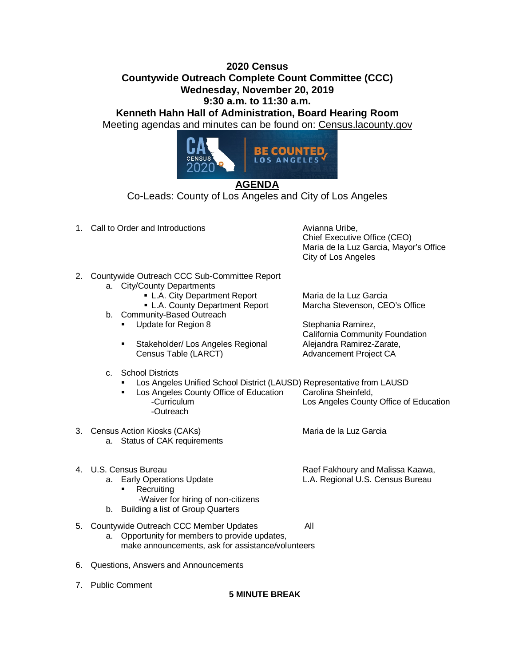## **2020 Census Countywide Outreach Complete Count Committee (CCC) Wednesday, November 20, 2019 9:30 a.m. to 11:30 a.m.**

**Kenneth Hahn Hall of Administration, Board Hearing Room** Meeting agendas and minutes can be found on: Census.lacounty.gov



## **AGENDA** Co-Leads: County of Los Angeles and City of Los Angeles

1. Call to Order and Introductions **Avianna Uribe**,

Chief Executive Office (CEO) Maria de la Luz Garcia, Mayor's Office City of Los Angeles

California Community Foundation

Advancement Project CA

- 2. Countywide Outreach CCC Sub-Committee Report
	- a. City/County Departments
		- L.A. City Department Report Maria de la Luz Garcia<br>L.A. County Department Report Marcha Stevenson, CEO's Office
		- L.A. County Department Report
	- b. Community-Based Outreach
		- Update for Region 8 Stephania Ramirez,
		- **Stakeholder/ Los Angeles Regional Alejandra Ramirez-Zarate,<br>Census Table (LARCT) Advancement Project CA**
	- c. School Districts
		- Los Angeles Unified School District (LAUSD) Representative from LAUSD
		- **Los Angeles County Office of Education** Carolina Sheinfeld, -Curriculum Los Angeles County Office of Education -Outreach
- 3. Census Action Kiosks (CAKs) Maria de la Luz Garcia a. Status of CAK requirements
- 4. U.S. Census Bureau Raef Fakhoury and Malissa Kaawa,
	- a. Early Operations Update **L.A. Regional U.S. Census Bureau** 
		- Recruiting
		- -Waiver for hiring of non-citizens
	- b. Building a list of Group Quarters
- 5. Countywide Outreach CCC Member Updates All a. Opportunity for members to provide updates, make announcements, ask for assistance/volunteers
- 6. Questions, Answers and Announcements
- 7. Public Comment

## **5 MINUTE BREAK**